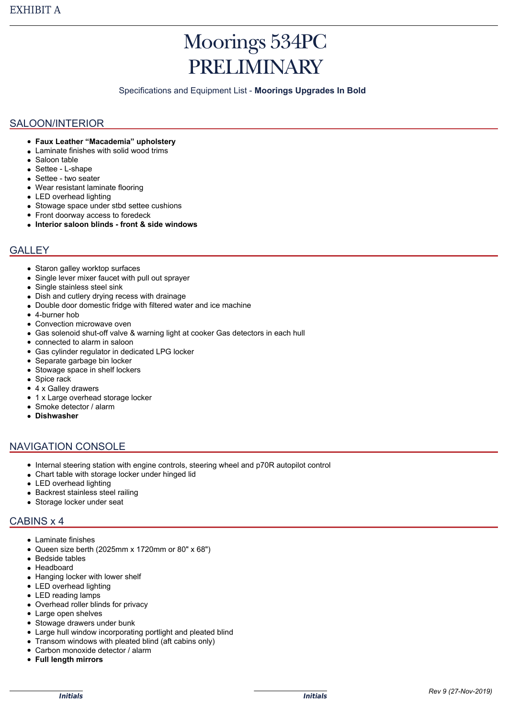# Moorings 534PC PRELIMINARY

Specifications and Equipment List - **Moorings Upgrades In Bold**

#### SALOON/INTERIOR

- **Faux Leather "Macademia" upholstery**
- Laminate finishes with solid wood trims
- Saloon table
- Settee L-shape
- Settee two seater
- Wear resistant laminate flooring
- LED overhead lighting
- Stowage space under stbd settee cushions
- Front doorway access to foredeck
- **Interior saloon blinds front & side windows**

### **GALLEY**

- Staron galley worktop surfaces
- Single lever mixer faucet with pull out sprayer
- Single stainless steel sink
- Dish and cutlery drying recess with drainage  $\bullet$
- Double door domestic fridge with filtered water and ice machine
- 4-burner hob
- Convection microwave oven
- Gas solenoid shut-off valve & warning light at cooker Gas detectors in each hull
- connected to alarm in saloon
- Gas cylinder regulator in dedicated LPG locker
- Separate garbage bin locker
- Stowage space in shelf lockers
- Spice rack
- 4 x Galley drawers
- 1 x Large overhead storage locker
- Smoke detector / alarm
- **Dishwasher**

### NAVIGATION CONSOLE

- Internal steering station with engine controls, steering wheel and p70R autopilot control
- Chart table with storage locker under hinged lid
- LED overhead lighting
- Backrest stainless steel railing
- Storage locker under seat

### CABINS x 4

- Laminate finishes
- Queen size berth (2025mm x 1720mm or 80" x 68")
- Bedside tables
- Headboard
- Hanging locker with lower shelf
- LED overhead lighting
- LED reading lamps
- Overhead roller blinds for privacy
- Large open shelves
- Stowage drawers under bunk
- Large hull window incorporating portlight and pleated blind
- Transom windows with pleated blind (aft cabins only)
- Carbon monoxide detector / alarm  $\bullet$
- **Full length mirrors**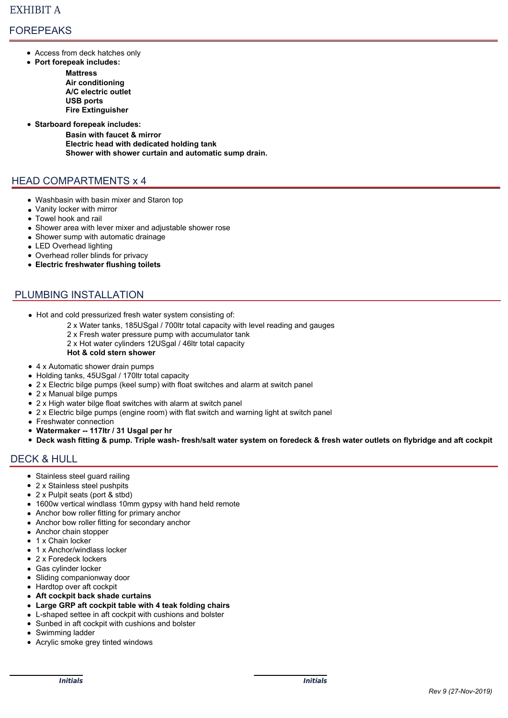# FOREPEAKS

- Access from deck hatches only
- **Port forepeak includes:**
	- **Mattress Air conditioning A/C electric outlet USB ports Fire Extinguisher**
- **Starboard forepeak includes:**

**Basin with faucet & mirror Electric head with dedicated holding tank Shower with shower curtain and automatic sump drain.** 

# HEAD COMPARTMENTS x 4

- Washbasin with basin mixer and Staron top
- Vanity locker with mirror
- Towel hook and rail
- Shower area with lever mixer and adjustable shower rose
- Shower sump with automatic drainage
- LED Overhead lighting
- Overhead roller blinds for privacy
- **Electric freshwater flushing toilets**

# PLUMBING INSTALLATION

- Hot and cold pressurized fresh water system consisting of:
	- 2 x Water tanks, 185USgal / 700ltr total capacity with level reading and gauges
	- 2 x Fresh water pressure pump with accumulator tank
	- 2 x Hot water cylinders 12USgal / 46ltr total capacity
	- **Hot & cold stern shower**
- 4 x Automatic shower drain pumps
- Holding tanks, 45USgal / 170ltr total capacity
- 2 x Electric bilge pumps (keel sump) with float switches and alarm at switch panel
- 2 x Manual bilge pumps
- 2 x High water bilge float switches with alarm at switch panel
- 2 x Electric bilge pumps (engine room) with flat switch and warning light at switch panel
- Freshwater connection
- **Watermaker -- 117ltr / 31 Usgal per hr**
- **Deck wash fitting & pump. Triple wash- fresh/salt water system on foredeck & fresh water outlets on flybridge and aft cockpit**

### DECK & HULL

- Stainless steel quard railing
- 2 x Stainless steel pushpits
- 2 x Pulpit seats (port & stbd)
- 1600w vertical windlass 10mm gypsy with hand held remote
- Anchor bow roller fitting for primary anchor
- Anchor bow roller fitting for secondary anchor
- Anchor chain stopper
- 1 x Chain locker
- 1 x Anchor/windlass locker
- 2 x Foredeck lockers
- Gas cylinder locker
- Sliding companionway door
- Hardtop over aft cockpit
- **Aft cockpit back shade curtains**
- **Large GRP aft cockpit table with 4 teak folding chairs**
- L-shaped settee in aft cockpit with cushions and bolster
- Sunbed in aft cockpit with cushions and bolster
- Swimming ladder
- Acrylic smoke grey tinted windows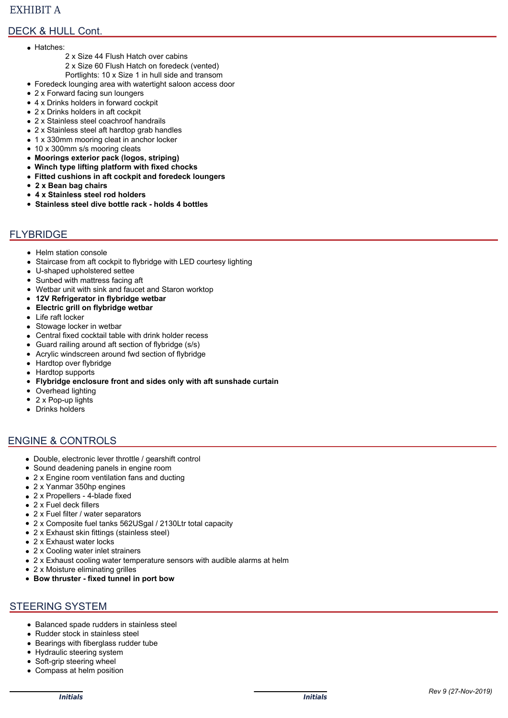## EXHIBIT A

# DECK & HULL Cont.

- Hatches:
	- 2 x Size 44 Flush Hatch over cabins
		- 2 x Size 60 Flush Hatch on foredeck (vented)
		- Portlights: 10 x Size 1 in hull side and transom
- Foredeck lounging area with watertight saloon access door
- 2 x Forward facing sun loungers
- 4 x Drinks holders in forward cockpit
- 2 x Drinks holders in aft cockpit
- 2 x Stainless steel coachroof handrails
- 2 x Stainless steel aft hardtop grab handles
- 1 x 330mm mooring cleat in anchor locker
- 10 x 300mm s/s mooring cleats
- **Moorings exterior pack (logos, striping)**
- **Winch type lifting platform with fixed chocks**
- **Fitted cushions in aft cockpit and foredeck loungers**
- **2 x Bean bag chairs**
- **4 x Stainless steel rod holders**
- **Stainless steel dive bottle rack holds 4 bottles**

## FLYBRIDGE

- Helm station console
- Staircase from aft cockpit to flybridge with LED courtesy lighting
- U-shaped upholstered settee
- Sunbed with mattress facing aft
- Wetbar unit with sink and faucet and Staron worktop
- **12V Refrigerator in flybridge wetbar**
- **Electric grill on flybridge wetbar**
- Life raft locker
- Stowage locker in wetbar
- Central fixed cocktail table with drink holder recess
- Guard railing around aft section of flybridge (s/s)
- Acrylic windscreen around fwd section of flybridge  $\bullet$
- Hardtop over flybridge
- Hardtop supports  $\bullet$
- **Flybridge enclosure front and sides only with aft sunshade curtain**  $\bullet$
- Overhead lighting
- $\bullet$ 2 x Pop-up lights
- Drinks holders

### ENGINE & CONTROLS

- Double, electronic lever throttle / gearshift control
- Sound deadening panels in engine room  $\bullet$
- 2 x Engine room ventilation fans and ducting  $\bullet$
- 2 x Yanmar 350hp engines
- 2 x Propellers 4-blade fixed
- 2 x Fuel deck fillers
- 2 x Fuel filter / water separators
- 2 x Composite fuel tanks 562USgal / 2130Ltr total capacity
- 2 x Exhaust skin fittings (stainless steel)
- 2 x Exhaust water locks
- 2 x Cooling water inlet strainers
- 2 x Exhaust cooling water temperature sensors with audible alarms at helm
- 2 x Moisture eliminating grilles  $\bullet$
- **Bow thruster fixed tunnel in port bow**

### STEERING SYSTEM

- Balanced spade rudders in stainless steel
- Rudder stock in stainless steel
- Bearings with fiberglass rudder tube
- Hydraulic steering system
- Soft-grip steering wheel
- Compass at helm position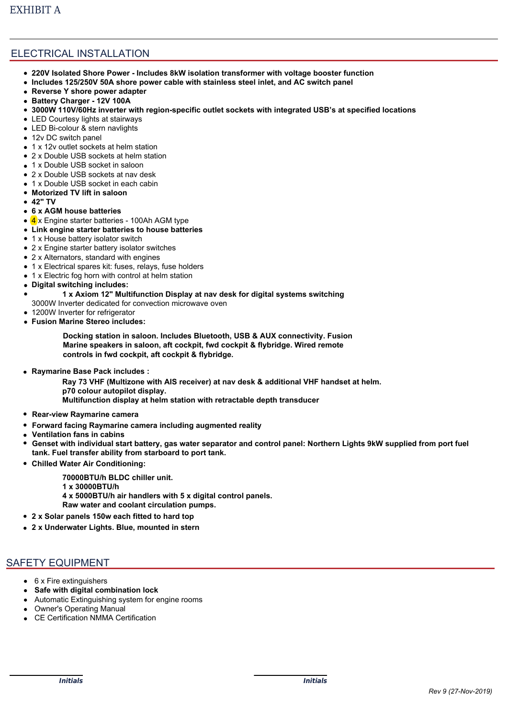# ELECTRICAL INSTALLATION

- **220V Isolated Shore Power Includes 8kW isolation transformer with voltage booster function**
- **Includes 125/250V 50A shore power cable with stainless steel inlet, and AC switch panel**
- **Reverse Y shore power adapter**
- **Battery Charger 12V 100A**
- **3000W 110V/60Hz inverter with region-specific outlet sockets with integrated USB's at specified locations**
- LED Courtesy lights at stairways
- LED Bi-colour & stern navlights
- 12v DC switch panel
- 1 x 12y outlet sockets at helm station
- 2 x Double USB sockets at helm station
- 1 x Double USB socket in saloon
- 2 x Double USB sockets at nav desk
- 1 x Double USB socket in each cabin
- **Motorized TV lift in saloon**
- **42" TV**
- **6 x AGM house batteries**
- 4 x Engine starter batteries 100Ah AGM type
- **Link engine starter batteries to house batteries**
- 1 x House battery isolator switch
- 2 x Engine starter battery isolator switches
- 2 x Alternators, standard with engines
- 1 x Electrical spares kit: fuses, relays, fuse holders
- 1 x Electric fog horn with control at helm station
- **Digital switching includes:**  $\bullet$ 
	- **1 x Axiom 12" Multifunction Display at nav desk for digital systems switching**
	- 3000W Inverter dedicated for convection microwave oven
- 1200W Inverter for refrigerator
- **Fusion Marine Stereo includes:**

**Docking station in saloon. Includes Bluetooth, USB & AUX connectivity. Fusion Marine speakers in saloon, aft cockpit, fwd cockpit & flybridge. Wired remote controls in fwd cockpit, aft cockpit & flybridge.**

**Raymarine Base Pack includes :**

**Ray 73 VHF (Multizone with AIS receiver) at nav desk & additional VHF handset at helm. p70 colour autopilot display. Multifunction display at helm station with retractable depth transducer**

- **Rear-view Raymarine camera**
- **Forward facing Raymarine camera including augmented reality**
- **Ventilation fans in cabins**
- **Genset with individual start battery, gas water separator and control panel: Northern Lights 9kW supplied from port fuel tank. Fuel transfer ability from starboard to port tank.**
- **Chilled Water Air Conditioning:**
	- **70000BTU/h BLDC chiller unit. 1 x 30000BTU/h 4 x 5000BTU/h air handlers with 5 x digital control panels.**
- **Raw water and coolant circulation pumps.**
- **2 x Solar panels 150w each fitted to hard top**
- **2 x Underwater Lights. Blue, mounted in stern**

# SAFETY EQUIPMENT

- 6 x Fire extinguishers
- **Safe with digital combination lock**
- Automatic Extinguishing system for engine rooms
- Owner's Operating Manual
- CE Certification NMMA Certification